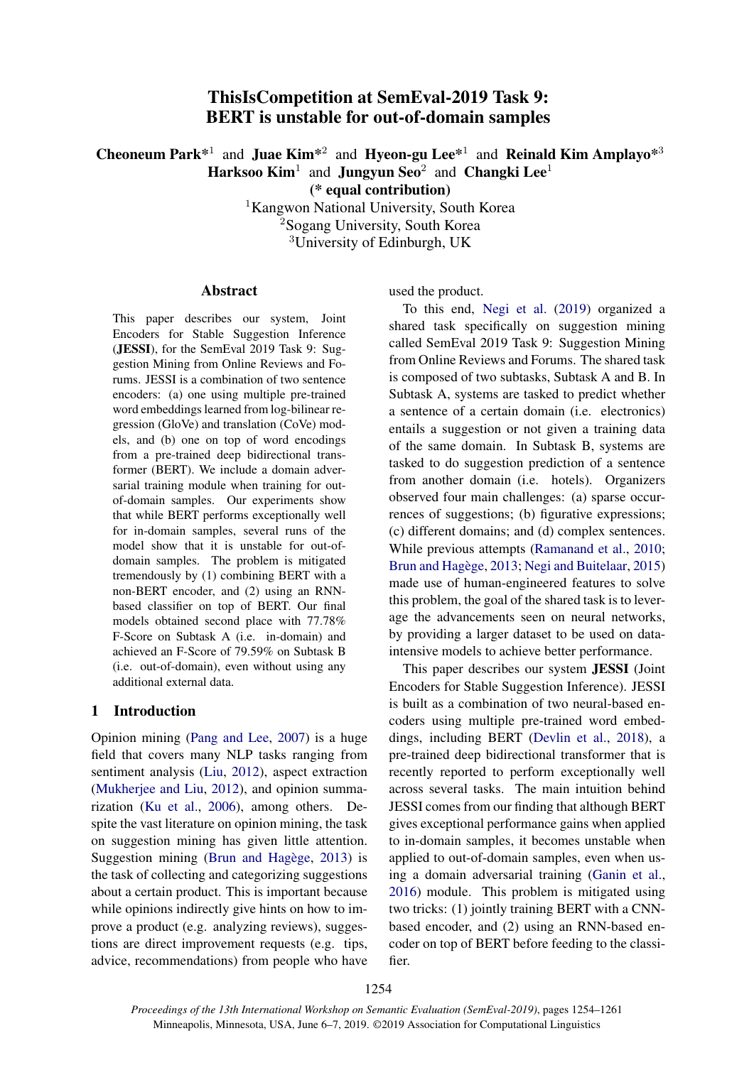# ThisIsCompetition at SemEval-2019 Task 9: BERT is unstable for out-of-domain samples

Cheoneum Park<sup>\*1</sup> and Juae Kim<sup>\*2</sup> and Hyeon-gu Lee<sup>\*1</sup> and Reinald Kim Amplayo<sup>\*3</sup> Harksoo Kim<sup>1</sup> and Jungyun Seo<sup>2</sup> and Changki Lee<sup>1</sup>

(\* equal contribution)

<sup>1</sup>Kangwon National University, South Korea <sup>2</sup>Sogang University, South Korea <sup>3</sup>University of Edinburgh, UK

#### Abstract

This paper describes our system, Joint Encoders for Stable Suggestion Inference (JESSI), for the SemEval 2019 Task 9: Suggestion Mining from Online Reviews and Forums. JESSI is a combination of two sentence encoders: (a) one using multiple pre-trained word embeddings learned from log-bilinear regression (GloVe) and translation (CoVe) models, and (b) one on top of word encodings from a pre-trained deep bidirectional transformer (BERT). We include a domain adversarial training module when training for outof-domain samples. Our experiments show that while BERT performs exceptionally well for in-domain samples, several runs of the model show that it is unstable for out-ofdomain samples. The problem is mitigated tremendously by (1) combining BERT with a non-BERT encoder, and (2) using an RNNbased classifier on top of BERT. Our final models obtained second place with 77.78% F-Score on Subtask A (i.e. in-domain) and achieved an F-Score of 79.59% on Subtask B (i.e. out-of-domain), even without using any additional external data.

### 1 Introduction

Opinion mining [\(Pang and Lee,](#page-6-0) [2007\)](#page-6-0) is a huge field that covers many NLP tasks ranging from sentiment analysis [\(Liu,](#page-5-0) [2012\)](#page-5-0), aspect extraction [\(Mukherjee and Liu,](#page-6-1) [2012\)](#page-6-1), and opinion summarization [\(Ku et al.,](#page-5-1) [2006\)](#page-5-1), among others. Despite the vast literature on opinion mining, the task on suggestion mining has given little attention. Suggestion mining [\(Brun and Hagege](#page-5-2),  $2013$ ) is the task of collecting and categorizing suggestions about a certain product. This is important because while opinions indirectly give hints on how to improve a product (e.g. analyzing reviews), suggestions are direct improvement requests (e.g. tips, advice, recommendations) from people who have used the product.

To this end, [Negi et al.](#page-6-2) [\(2019\)](#page-6-2) organized a shared task specifically on suggestion mining called SemEval 2019 Task 9: Suggestion Mining from Online Reviews and Forums. The shared task is composed of two subtasks, Subtask A and B. In Subtask A, systems are tasked to predict whether a sentence of a certain domain (i.e. electronics) entails a suggestion or not given a training data of the same domain. In Subtask B, systems are tasked to do suggestion prediction of a sentence from another domain (i.e. hotels). Organizers observed four main challenges: (a) sparse occurrences of suggestions; (b) figurative expressions; (c) different domains; and (d) complex sentences. While previous attempts [\(Ramanand et al.,](#page-6-3) [2010;](#page-6-3) Brun and Hagège, [2013;](#page-5-2) [Negi and Buitelaar,](#page-6-4) [2015\)](#page-6-4) made use of human-engineered features to solve this problem, the goal of the shared task is to leverage the advancements seen on neural networks, by providing a larger dataset to be used on dataintensive models to achieve better performance.

This paper describes our system JESSI (Joint Encoders for Stable Suggestion Inference). JESSI is built as a combination of two neural-based encoders using multiple pre-trained word embeddings, including BERT [\(Devlin et al.,](#page-5-3) [2018\)](#page-5-3), a pre-trained deep bidirectional transformer that is recently reported to perform exceptionally well across several tasks. The main intuition behind JESSI comes from our finding that although BERT gives exceptional performance gains when applied to in-domain samples, it becomes unstable when applied to out-of-domain samples, even when using a domain adversarial training [\(Ganin et al.,](#page-5-4) [2016\)](#page-5-4) module. This problem is mitigated using two tricks: (1) jointly training BERT with a CNNbased encoder, and (2) using an RNN-based encoder on top of BERT before feeding to the classifier.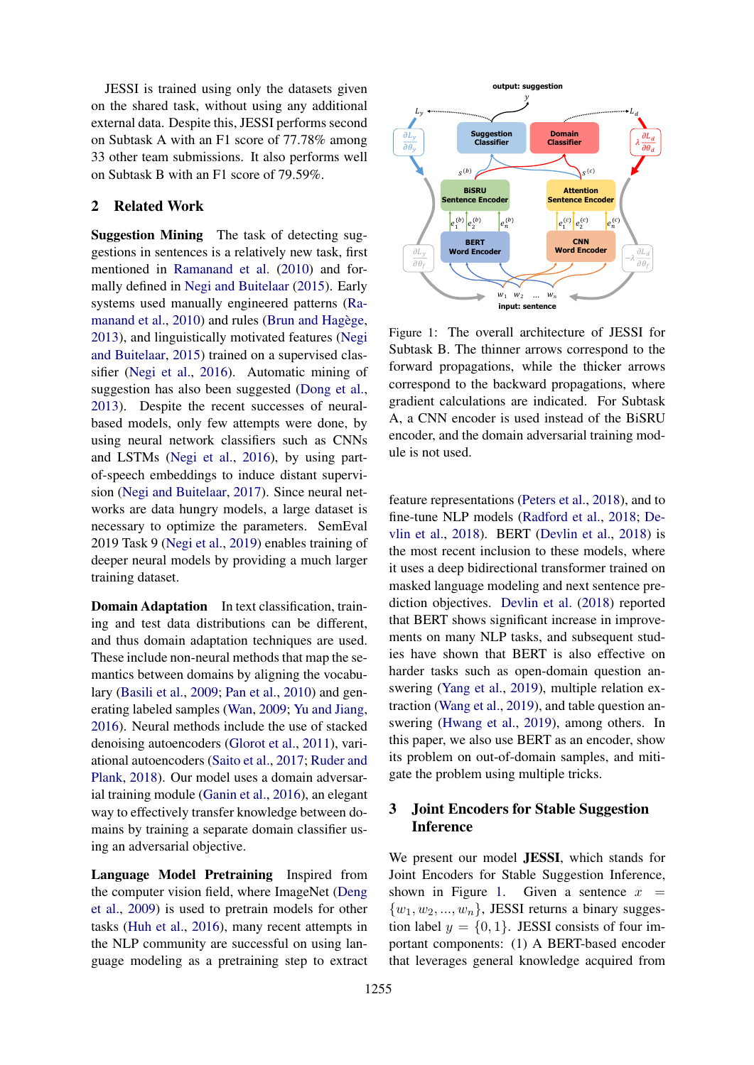JESSI is trained using only the datasets given on the shared task, without using any additional external data. Despite this, JESSI performs second on Subtask A with an F1 score of 77.78% among 33 other team submissions. It also performs well on Subtask B with an F1 score of 79.59%.

## 2 Related Work

Suggestion Mining The task of detecting suggestions in sentences is a relatively new task, first mentioned in [Ramanand et al.](#page-6-3) [\(2010\)](#page-6-3) and formally defined in [Negi and Buitelaar](#page-6-4) [\(2015\)](#page-6-4). Early systems used manually engineered patterns [\(Ra](#page-6-3)[manand et al.,](#page-6-3) [2010\)](#page-6-3) and rules (Brun and Hagège, [2013\)](#page-5-2), and linguistically motivated features [\(Negi](#page-6-4) [and Buitelaar,](#page-6-4) [2015\)](#page-6-4) trained on a supervised classifier [\(Negi et al.,](#page-6-5) [2016\)](#page-6-5). Automatic mining of suggestion has also been suggested [\(Dong et al.,](#page-5-5) [2013\)](#page-5-5). Despite the recent successes of neuralbased models, only few attempts were done, by using neural network classifiers such as CNNs and LSTMs [\(Negi et al.,](#page-6-5) [2016\)](#page-6-5), by using partof-speech embeddings to induce distant supervision [\(Negi and Buitelaar,](#page-6-6) [2017\)](#page-6-6). Since neural networks are data hungry models, a large dataset is necessary to optimize the parameters. SemEval 2019 Task 9 [\(Negi et al.,](#page-6-2) [2019\)](#page-6-2) enables training of deeper neural models by providing a much larger training dataset.

Domain Adaptation In text classification, training and test data distributions can be different, and thus domain adaptation techniques are used. These include non-neural methods that map the semantics between domains by aligning the vocabulary [\(Basili et al.,](#page-5-6) [2009;](#page-5-6) [Pan et al.,](#page-6-7) [2010\)](#page-6-7) and generating labeled samples [\(Wan,](#page-6-8) [2009;](#page-6-8) [Yu and Jiang,](#page-6-9) [2016\)](#page-6-9). Neural methods include the use of stacked denoising autoencoders [\(Glorot et al.,](#page-5-7) [2011\)](#page-5-7), variational autoencoders [\(Saito et al.,](#page-6-10) [2017;](#page-6-10) [Ruder and](#page-6-11) [Plank,](#page-6-11) [2018\)](#page-6-11). Our model uses a domain adversarial training module [\(Ganin et al.,](#page-5-4) [2016\)](#page-5-4), an elegant way to effectively transfer knowledge between domains by training a separate domain classifier using an adversarial objective.

Language Model Pretraining Inspired from the computer vision field, where ImageNet [\(Deng](#page-5-8) [et al.,](#page-5-8) [2009\)](#page-5-8) is used to pretrain models for other tasks [\(Huh et al.,](#page-5-9) [2016\)](#page-5-9), many recent attempts in the NLP community are successful on using language modeling as a pretraining step to extract

<span id="page-1-0"></span>

Figure 1: The overall architecture of JESSI for Subtask B. The thinner arrows correspond to the forward propagations, while the thicker arrows correspond to the backward propagations, where gradient calculations are indicated. For Subtask A, a CNN encoder is used instead of the BiSRU encoder, and the domain adversarial training module is not used.

feature representations [\(Peters et al.,](#page-6-12) [2018\)](#page-6-12), and to fine-tune NLP models [\(Radford et al.,](#page-6-13) [2018;](#page-6-13) [De](#page-5-3)[vlin et al.,](#page-5-3) [2018\)](#page-5-3). BERT [\(Devlin et al.,](#page-5-3) [2018\)](#page-5-3) is the most recent inclusion to these models, where it uses a deep bidirectional transformer trained on masked language modeling and next sentence prediction objectives. [Devlin et al.](#page-5-3) [\(2018\)](#page-5-3) reported that BERT shows significant increase in improvements on many NLP tasks, and subsequent studies have shown that BERT is also effective on harder tasks such as open-domain question answering [\(Yang et al.,](#page-6-14) [2019\)](#page-6-14), multiple relation extraction [\(Wang et al.,](#page-6-15) [2019\)](#page-6-15), and table question answering [\(Hwang et al.,](#page-5-10) [2019\)](#page-5-10), among others. In this paper, we also use BERT as an encoder, show its problem on out-of-domain samples, and mitigate the problem using multiple tricks.

### 3 Joint Encoders for Stable Suggestion Inference

We present our model JESSI, which stands for Joint Encoders for Stable Suggestion Inference, shown in Figure [1.](#page-1-0) Given a sentence  $x =$  $\{w_1, w_2, ..., w_n\}$ , JESSI returns a binary suggestion label  $y = \{0, 1\}$ . JESSI consists of four important components: (1) A BERT-based encoder that leverages general knowledge acquired from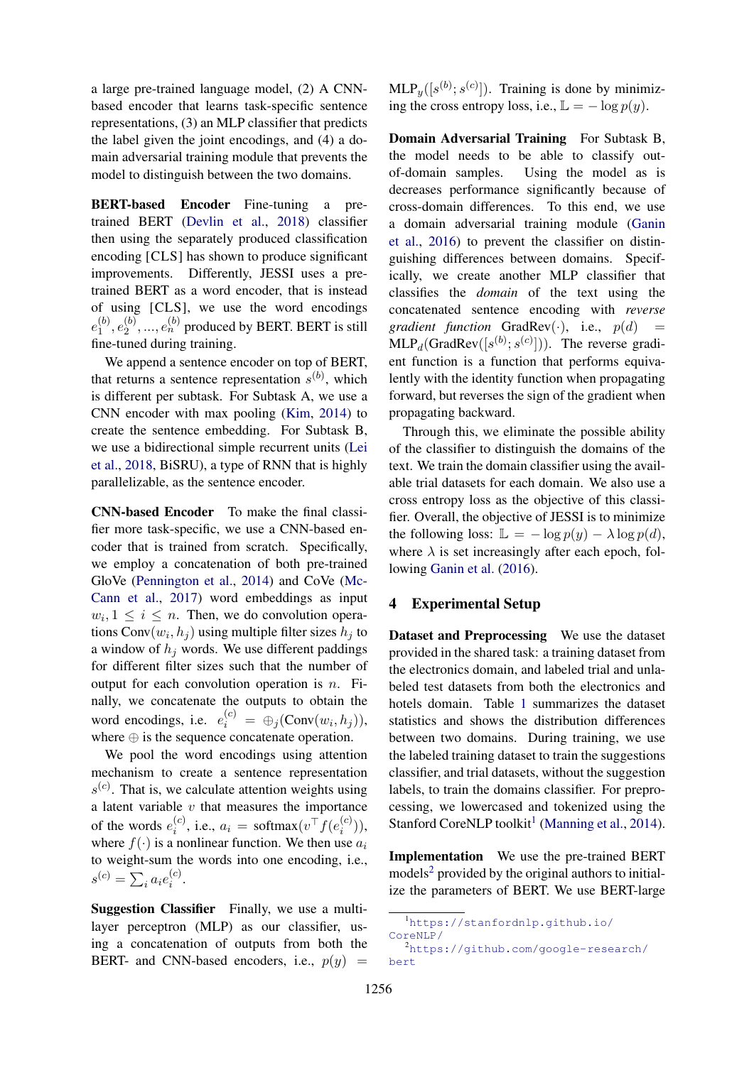a large pre-trained language model, (2) A CNNbased encoder that learns task-specific sentence representations, (3) an MLP classifier that predicts the label given the joint encodings, and (4) a domain adversarial training module that prevents the model to distinguish between the two domains.

BERT-based Encoder Fine-tuning a pretrained BERT [\(Devlin et al.,](#page-5-3) [2018\)](#page-5-3) classifier then using the separately produced classification encoding [CLS] has shown to produce significant improvements. Differently, JESSI uses a pretrained BERT as a word encoder, that is instead of using [CLS], we use the word encodings  $e_1^{(b)}$  $\binom{b)}{1},e_2^{(b)}$  $\mathbf{2}^{(b)},...,\mathbf{e}_n^{(b)}$  produced by BERT. BERT is still fine-tuned during training.

We append a sentence encoder on top of BERT, that returns a sentence representation  $s^{(b)}$ , which is different per subtask. For Subtask A, we use a CNN encoder with max pooling [\(Kim,](#page-5-11) [2014\)](#page-5-11) to create the sentence embedding. For Subtask B, we use a bidirectional simple recurrent units [\(Lei](#page-5-12) [et al.,](#page-5-12) [2018,](#page-5-12) BiSRU), a type of RNN that is highly parallelizable, as the sentence encoder.

CNN-based Encoder To make the final classifier more task-specific, we use a CNN-based encoder that is trained from scratch. Specifically, we employ a concatenation of both pre-trained GloVe [\(Pennington et al.,](#page-6-16) [2014\)](#page-6-16) and CoVe [\(Mc-](#page-6-17)[Cann et al.,](#page-6-17) [2017\)](#page-6-17) word embeddings as input  $w_i, 1 \leq i \leq n$ . Then, we do convolution operations Conv $(w_i, h_j)$  using multiple filter sizes  $h_j$  to a window of  $h_j$  words. We use different paddings for different filter sizes such that the number of output for each convolution operation is  $n$ . Finally, we concatenate the outputs to obtain the word encodings, i.e.  $e_i^{(c)} = \bigoplus_j (\text{Conv}(w_i, h_j)),$ where  $\oplus$  is the sequence concatenate operation.

We pool the word encodings using attention mechanism to create a sentence representation  $s^{(c)}$ . That is, we calculate attention weights using a latent variable  $v$  that measures the importance of the words  $e_i^{(c)}$  $i^{(c)}$ , i.e.,  $a_i = \text{softmax}(v^\top f(e_i^{(c)})$  $\binom{c}{i}$ ), where  $f(\cdot)$  is a nonlinear function. We then use  $a_i$ to weight-sum the words into one encoding, i.e.,  $s^{(c)} = \sum_{i} a_i e_i^{(c)}$  $\binom{c}{i}$ .

Suggestion Classifier Finally, we use a multilayer perceptron (MLP) as our classifier, using a concatenation of outputs from both the BERT- and CNN-based encoders, i.e.,  $p(y)$  =

 $MLP_y([s^{(b)}; s^{(c)}])$ . Training is done by minimizing the cross entropy loss, i.e.,  $\mathbb{L} = -\log p(y)$ .

Domain Adversarial Training For Subtask B, the model needs to be able to classify outof-domain samples. Using the model as is decreases performance significantly because of cross-domain differences. To this end, we use a domain adversarial training module [\(Ganin](#page-5-4) [et al.,](#page-5-4) [2016\)](#page-5-4) to prevent the classifier on distinguishing differences between domains. Specifically, we create another MLP classifier that classifies the *domain* of the text using the concatenated sentence encoding with *reverse gradient function* GradRev $(\cdot)$ , i.e.,  $p(d)$  $MLP_d(GradRev([s^{(b)}; s^{(c)}]))$ . The reverse gradient function is a function that performs equivalently with the identity function when propagating forward, but reverses the sign of the gradient when propagating backward.

Through this, we eliminate the possible ability of the classifier to distinguish the domains of the text. We train the domain classifier using the available trial datasets for each domain. We also use a cross entropy loss as the objective of this classifier. Overall, the objective of JESSI is to minimize the following loss:  $\mathbb{L} = -\log p(y) - \lambda \log p(d)$ , where  $\lambda$  is set increasingly after each epoch, following [Ganin et al.](#page-5-4) [\(2016\)](#page-5-4).

## 4 Experimental Setup

Dataset and Preprocessing We use the dataset provided in the shared task: a training dataset from the electronics domain, and labeled trial and unlabeled test datasets from both the electronics and hotels domain. Table [1](#page-3-0) summarizes the dataset statistics and shows the distribution differences between two domains. During training, we use the labeled training dataset to train the suggestions classifier, and trial datasets, without the suggestion labels, to train the domains classifier. For preprocessing, we lowercased and tokenized using the Stanford CoreNLP toolkit<sup>[1](#page-2-0)</sup> [\(Manning et al.,](#page-6-18) [2014\)](#page-6-18).

Implementation We use the pre-trained BERT models<sup>[2](#page-2-1)</sup> provided by the original authors to initialize the parameters of BERT. We use BERT-large

```
bert
```
<span id="page-2-0"></span><sup>1</sup>[https://stanfordnlp.github.io/](https://stanfordnlp.github.io/CoreNLP/) [CoreNLP/](https://stanfordnlp.github.io/CoreNLP/) <sup>2</sup>[https://github.com/google-research/](https://github.com/google-research/bert)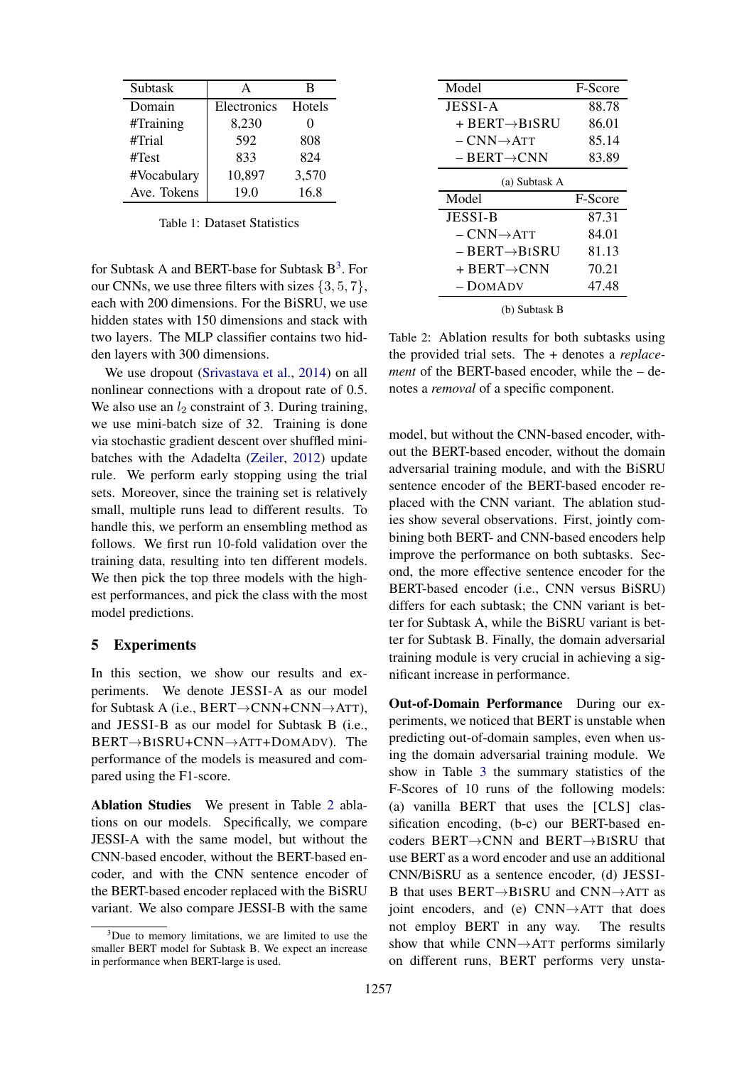<span id="page-3-0"></span>

| Subtask     | А           | в      |  |
|-------------|-------------|--------|--|
| Domain      | Electronics | Hotels |  |
| #Training   | 8,230       |        |  |
| #Trial      | 592         | 808    |  |
| #Test       | 833         | 824    |  |
| #Vocabulary | 10,897      | 3,570  |  |
| Ave. Tokens | 19.0        | 16.8   |  |

Table 1: Dataset Statistics

for Subtask A and BERT-base for Subtask  $B^3$  $B^3$ . For our CNNs, we use three filters with sizes  $\{3, 5, 7\}$ , each with 200 dimensions. For the BiSRU, we use hidden states with 150 dimensions and stack with two layers. The MLP classifier contains two hidden layers with 300 dimensions.

We use dropout [\(Srivastava et al.,](#page-6-19) [2014\)](#page-6-19) on all nonlinear connections with a dropout rate of 0.5. We also use an  $l_2$  constraint of 3. During training, we use mini-batch size of 32. Training is done via stochastic gradient descent over shuffled minibatches with the Adadelta [\(Zeiler,](#page-7-0) [2012\)](#page-7-0) update rule. We perform early stopping using the trial sets. Moreover, since the training set is relatively small, multiple runs lead to different results. To handle this, we perform an ensembling method as follows. We first run 10-fold validation over the training data, resulting into ten different models. We then pick the top three models with the highest performances, and pick the class with the most model predictions.

#### 5 Experiments

In this section, we show our results and experiments. We denote JESSI-A as our model for Subtask A (i.e., BERT→CNN+CNN→ATT), and JESSI-B as our model for Subtask B (i.e., BERT→BISRU+CNN→ATT+DOMADV). The performance of the models is measured and compared using the F1-score.

Ablation Studies We present in Table [2](#page-3-2) ablations on our models. Specifically, we compare JESSI-A with the same model, but without the CNN-based encoder, without the BERT-based encoder, and with the CNN sentence encoder of the BERT-based encoder replaced with the BiSRU variant. We also compare JESSI-B with the same

<span id="page-3-2"></span>

| Model                        | F-Score |  |  |  |
|------------------------------|---------|--|--|--|
| JESSI-A                      | 88.78   |  |  |  |
| $+$ BERT $\rightarrow$ BISRU | 86.01   |  |  |  |
| $-CNN\rightarrow$ ATT        | 85.14   |  |  |  |
| $-$ BERT $\rightarrow$ CNN   | 83.89   |  |  |  |
| (a) Subtask A                |         |  |  |  |
|                              |         |  |  |  |
| Model                        | F-Score |  |  |  |
| <b>JESSI-B</b>               | 87.31   |  |  |  |
| $-$ CNN $\rightarrow$ Att    | 84.01   |  |  |  |
| $-$ BERT $\rightarrow$ BISRU | 81.13   |  |  |  |
| + BERT $\rightarrow$ CNN     | 70.21   |  |  |  |
| – DOMADV                     | 47.48   |  |  |  |

(b) Subtask B

Table 2: Ablation results for both subtasks using the provided trial sets. The + denotes a *replacement* of the BERT-based encoder, while the – denotes a *removal* of a specific component.

model, but without the CNN-based encoder, without the BERT-based encoder, without the domain adversarial training module, and with the BiSRU sentence encoder of the BERT-based encoder replaced with the CNN variant. The ablation studies show several observations. First, jointly combining both BERT- and CNN-based encoders help improve the performance on both subtasks. Second, the more effective sentence encoder for the BERT-based encoder (i.e., CNN versus BiSRU) differs for each subtask; the CNN variant is better for Subtask A, while the BiSRU variant is better for Subtask B. Finally, the domain adversarial training module is very crucial in achieving a significant increase in performance.

Out-of-Domain Performance During our experiments, we noticed that BERT is unstable when predicting out-of-domain samples, even when using the domain adversarial training module. We show in Table [3](#page-4-0) the summary statistics of the F-Scores of 10 runs of the following models: (a) vanilla BERT that uses the [CLS] classification encoding, (b-c) our BERT-based encoders BERT→CNN and BERT→BISRU that use BERT as a word encoder and use an additional CNN/BiSRU as a sentence encoder, (d) JESSI-B that uses BERT→BISRU and CNN→ATT as joint encoders, and (e)  $CNN \rightarrow ATT$  that does not employ BERT in any way. The results show that while  $CNN \rightarrow ATT$  performs similarly on different runs, BERT performs very unsta-

<span id="page-3-1"></span><sup>&</sup>lt;sup>3</sup>Due to memory limitations, we are limited to use the smaller BERT model for Subtask B. We expect an increase in performance when BERT-large is used.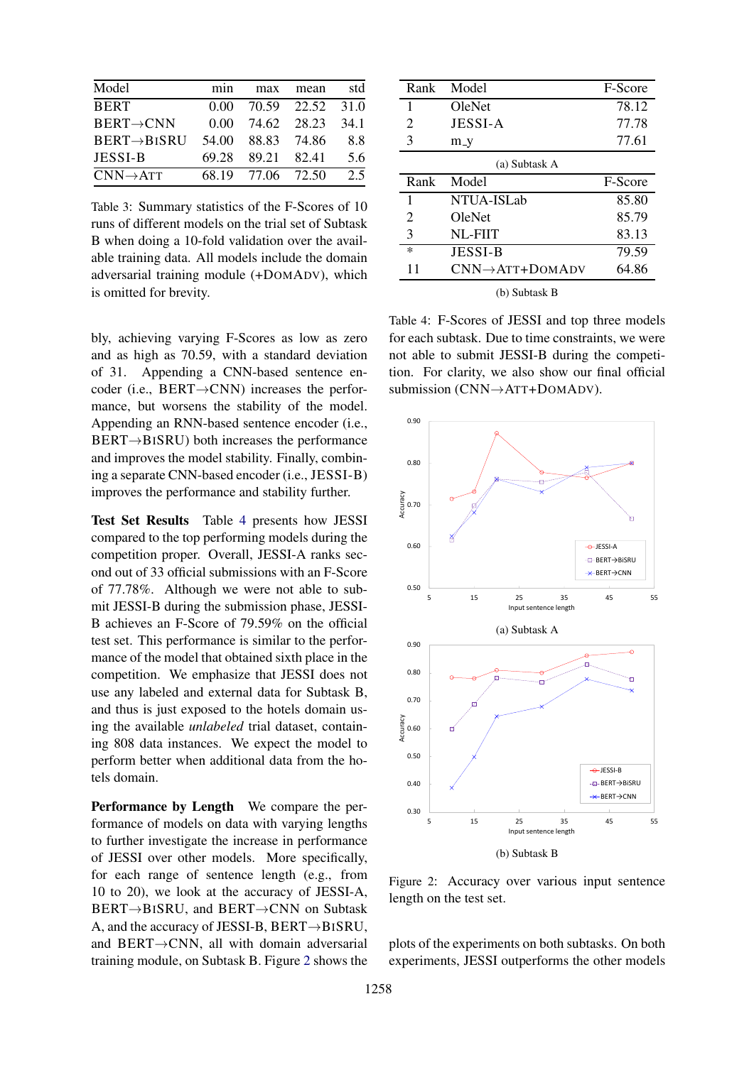<span id="page-4-0"></span>

| Model                    | mın   | max               | mean             | std  |
|--------------------------|-------|-------------------|------------------|------|
| <b>BERT</b>              | 0.00  |                   | 70.59 22.52 31.0 |      |
| $BERT \rightarrow CNN$   | 0.00  | 74.62             | 28.23            | 34 1 |
| $BERT \rightarrow BISRU$ | 54.00 | 88.83             | 74.86            | 88   |
| <b>JESSI-B</b>           | 69.28 | 89.21             | 82.41            | 5.6  |
| $CNN\rightarrow$ ATT     |       | 68.19 77.06 72.50 |                  | 2.5  |

Table 3: Summary statistics of the F-Scores of 10 runs of different models on the trial set of Subtask B when doing a 10-fold validation over the available training data. All models include the domain adversarial training module (+DOMADV), which is omitted for brevity.

bly, achieving varying F-Scores as low as zero and as high as 70.59, with a standard deviation of 31. Appending a CNN-based sentence encoder (i.e., BERT→CNN) increases the performance, but worsens the stability of the model. Appending an RNN-based sentence encoder (i.e., BERT→BISRU) both increases the performance and improves the model stability. Finally, combining a separate CNN-based encoder (i.e., JESSI-B) improves the performance and stability further.

Test Set Results Table [4](#page-4-1) presents how JESSI compared to the top performing models during the competition proper. Overall, JESSI-A ranks second out of 33 official submissions with an F-Score of 77.78%. Although we were not able to submit JESSI-B during the submission phase, JESSI-B achieves an F-Score of 79.59% on the official test set. This performance is similar to the performance of the model that obtained sixth place in the competition. We emphasize that JESSI does not use any labeled and external data for Subtask B, and thus is just exposed to the hotels domain using the available *unlabeled* trial dataset, containing 808 data instances. We expect the model to perform better when additional data from the hotels domain.

Performance by Length We compare the performance of models on data with varying lengths to further investigate the increase in performance of JESSI over other models. More specifically, for each range of sentence length (e.g., from 10 to 20), we look at the accuracy of JESSI-A, BERT→BISRU, and BERT→CNN on Subtask A, and the accuracy of JESSI-B, BERT→BISRU, and BERT→CNN, all with domain adversarial training module, on Subtask B. Figure [2](#page-4-2) shows the

<span id="page-4-1"></span>

| Rank                  | Model                        | F-Score |  |  |  |
|-----------------------|------------------------------|---------|--|--|--|
| 1                     | OleNet                       | 78.12   |  |  |  |
| 2                     | JESSI-A                      | 77.78   |  |  |  |
| 3                     | $m_y$                        | 77.61   |  |  |  |
| (a) Subtask A         |                              |         |  |  |  |
| Rank                  | Model                        | F-Score |  |  |  |
| 1                     | NTUA-ISLab                   | 85.80   |  |  |  |
| $\mathcal{D}_{\cdot}$ | OleNet                       | 85.79   |  |  |  |
| 3                     | NL-FIIT                      | 83.13   |  |  |  |
| $\ast$                | <b>JESSI-B</b>               | 79.59   |  |  |  |
| 11                    | $CNN \rightarrow$ ATT+DOMADV | 64.86   |  |  |  |
| (b) Subtask B         |                              |         |  |  |  |

Table 4: F-Scores of JESSI and top three models for each subtask. Due to time constraints, we were not able to submit JESSI-B during the competition. For clarity, we also show our final official submission (CNN→ATT+DOMADV).

<span id="page-4-2"></span>

Figure 2: Accuracy over various input sentence length on the test set.

plots of the experiments on both subtasks. On both experiments, JESSI outperforms the other models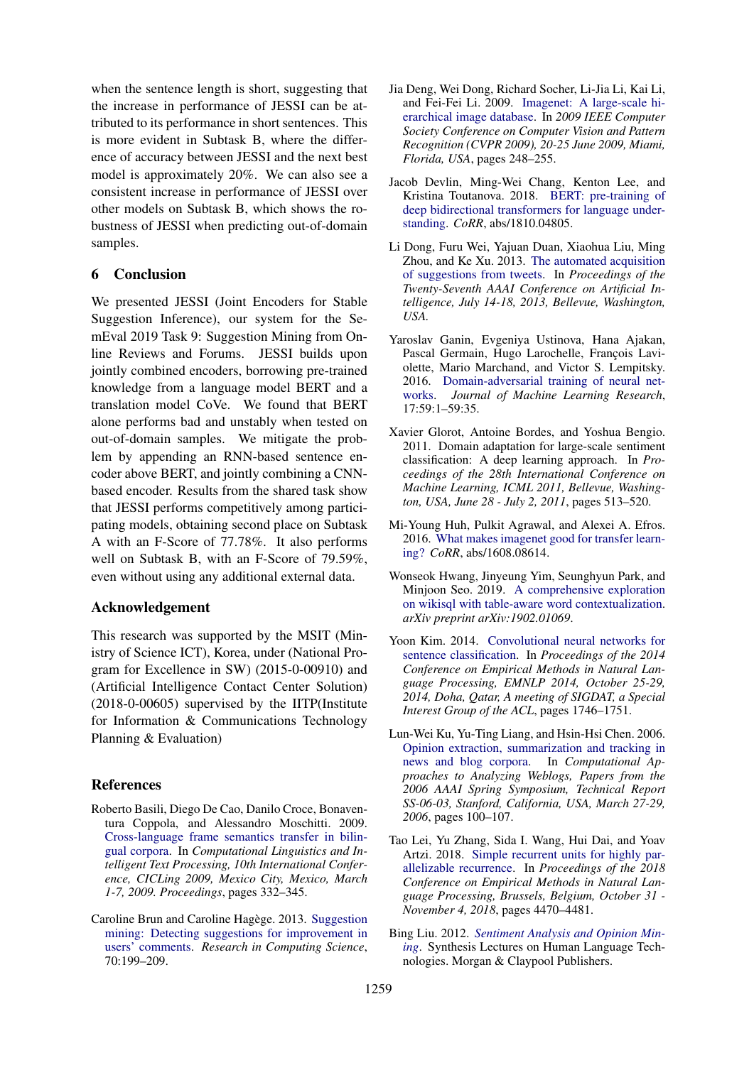when the sentence length is short, suggesting that the increase in performance of JESSI can be attributed to its performance in short sentences. This is more evident in Subtask B, where the difference of accuracy between JESSI and the next best model is approximately 20%. We can also see a consistent increase in performance of JESSI over other models on Subtask B, which shows the robustness of JESSI when predicting out-of-domain samples.

### 6 Conclusion

We presented JESSI (Joint Encoders for Stable Suggestion Inference), our system for the SemEval 2019 Task 9: Suggestion Mining from Online Reviews and Forums. JESSI builds upon jointly combined encoders, borrowing pre-trained knowledge from a language model BERT and a translation model CoVe. We found that BERT alone performs bad and unstably when tested on out-of-domain samples. We mitigate the problem by appending an RNN-based sentence encoder above BERT, and jointly combining a CNNbased encoder. Results from the shared task show that JESSI performs competitively among participating models, obtaining second place on Subtask A with an F-Score of 77.78%. It also performs well on Subtask B, with an F-Score of 79.59%, even without using any additional external data.

#### Acknowledgement

This research was supported by the MSIT (Ministry of Science ICT), Korea, under (National Program for Excellence in SW) (2015-0-00910) and (Artificial Intelligence Contact Center Solution) (2018-0-00605) supervised by the IITP(Institute for Information & Communications Technology Planning & Evaluation)

### **References**

- <span id="page-5-6"></span>Roberto Basili, Diego De Cao, Danilo Croce, Bonaventura Coppola, and Alessandro Moschitti. 2009. [Cross-language frame semantics transfer in bilin](https://doi.org/10.1007/978-3-642-00382-0_27)[gual corpora.](https://doi.org/10.1007/978-3-642-00382-0_27) In *Computational Linguistics and Intelligent Text Processing, 10th International Conference, CICLing 2009, Mexico City, Mexico, March 1-7, 2009. Proceedings*, pages 332–345.
- <span id="page-5-2"></span>Caroline Brun and Caroline Hagège. 2013. [Suggestion](http://rcs.cic.ipn.mx/2013_70/Suggestion%20Mining_%20Detecting%20Suggestions%20for%20Improvement%20in%20Users_%20Comments.pdf) [mining: Detecting suggestions for improvement in](http://rcs.cic.ipn.mx/2013_70/Suggestion%20Mining_%20Detecting%20Suggestions%20for%20Improvement%20in%20Users_%20Comments.pdf) [users' comments.](http://rcs.cic.ipn.mx/2013_70/Suggestion%20Mining_%20Detecting%20Suggestions%20for%20Improvement%20in%20Users_%20Comments.pdf) *Research in Computing Science*, 70:199–209.
- <span id="page-5-8"></span>Jia Deng, Wei Dong, Richard Socher, Li-Jia Li, Kai Li, and Fei-Fei Li. 2009. [Imagenet: A large-scale hi](https://doi.org/10.1109/CVPRW.2009.5206848)[erarchical image database.](https://doi.org/10.1109/CVPRW.2009.5206848) In *2009 IEEE Computer Society Conference on Computer Vision and Pattern Recognition (CVPR 2009), 20-25 June 2009, Miami, Florida, USA*, pages 248–255.
- <span id="page-5-3"></span>Jacob Devlin, Ming-Wei Chang, Kenton Lee, and Kristina Toutanova. 2018. [BERT: pre-training of](http://arxiv.org/abs/1810.04805) [deep bidirectional transformers for language under](http://arxiv.org/abs/1810.04805)[standing.](http://arxiv.org/abs/1810.04805) *CoRR*, abs/1810.04805.
- <span id="page-5-5"></span>Li Dong, Furu Wei, Yajuan Duan, Xiaohua Liu, Ming Zhou, and Ke Xu. 2013. [The automated acquisition](http://www.aaai.org/ocs/index.php/AAAI/AAAI13/paper/view/6368) [of suggestions from tweets.](http://www.aaai.org/ocs/index.php/AAAI/AAAI13/paper/view/6368) In *Proceedings of the Twenty-Seventh AAAI Conference on Artificial Intelligence, July 14-18, 2013, Bellevue, Washington, USA.*
- <span id="page-5-4"></span>Yaroslav Ganin, Evgeniya Ustinova, Hana Ajakan, Pascal Germain, Hugo Larochelle, François Laviolette, Mario Marchand, and Victor S. Lempitsky. 2016. [Domain-adversarial training of neural net](http://jmlr.org/papers/v17/15-239.html)[works.](http://jmlr.org/papers/v17/15-239.html) *Journal of Machine Learning Research*, 17:59:1–59:35.
- <span id="page-5-7"></span>Xavier Glorot, Antoine Bordes, and Yoshua Bengio. 2011. Domain adaptation for large-scale sentiment classification: A deep learning approach. In *Proceedings of the 28th International Conference on Machine Learning, ICML 2011, Bellevue, Washington, USA, June 28 - July 2, 2011*, pages 513–520.
- <span id="page-5-9"></span>Mi-Young Huh, Pulkit Agrawal, and Alexei A. Efros. 2016. [What makes imagenet good for transfer learn](http://arxiv.org/abs/1608.08614)[ing?](http://arxiv.org/abs/1608.08614) *CoRR*, abs/1608.08614.
- <span id="page-5-10"></span>Wonseok Hwang, Jinyeung Yim, Seunghyun Park, and Minjoon Seo. 2019. [A comprehensive exploration](https://arxiv.org/pdf/1902.01069) [on wikisql with table-aware word contextualization.](https://arxiv.org/pdf/1902.01069) *arXiv preprint arXiv:1902.01069*.
- <span id="page-5-11"></span>Yoon Kim. 2014. [Convolutional neural networks for](http://aclweb.org/anthology/D/D14/D14-1181.pdf) [sentence classification.](http://aclweb.org/anthology/D/D14/D14-1181.pdf) In *Proceedings of the 2014 Conference on Empirical Methods in Natural Language Processing, EMNLP 2014, October 25-29, 2014, Doha, Qatar, A meeting of SIGDAT, a Special Interest Group of the ACL*, pages 1746–1751.
- <span id="page-5-1"></span>Lun-Wei Ku, Yu-Ting Liang, and Hsin-Hsi Chen. 2006. [Opinion extraction, summarization and tracking in](http://www.aaai.org/Library/Symposia/Spring/2006/ss06-03-020.php) [news and blog corpora.](http://www.aaai.org/Library/Symposia/Spring/2006/ss06-03-020.php) In *Computational Approaches to Analyzing Weblogs, Papers from the 2006 AAAI Spring Symposium, Technical Report SS-06-03, Stanford, California, USA, March 27-29, 2006*, pages 100–107.
- <span id="page-5-12"></span>Tao Lei, Yu Zhang, Sida I. Wang, Hui Dai, and Yoav Artzi. 2018. [Simple recurrent units for highly par](https://aclanthology.info/papers/D18-1477/d18-1477)[allelizable recurrence.](https://aclanthology.info/papers/D18-1477/d18-1477) In *Proceedings of the 2018 Conference on Empirical Methods in Natural Language Processing, Brussels, Belgium, October 31 - November 4, 2018*, pages 4470–4481.
- <span id="page-5-0"></span>Bing Liu. 2012. *[Sentiment Analysis and Opinion Min](https://doi.org/10.2200/S00416ED1V01Y201204HLT016)[ing](https://doi.org/10.2200/S00416ED1V01Y201204HLT016)*. Synthesis Lectures on Human Language Technologies. Morgan & Claypool Publishers.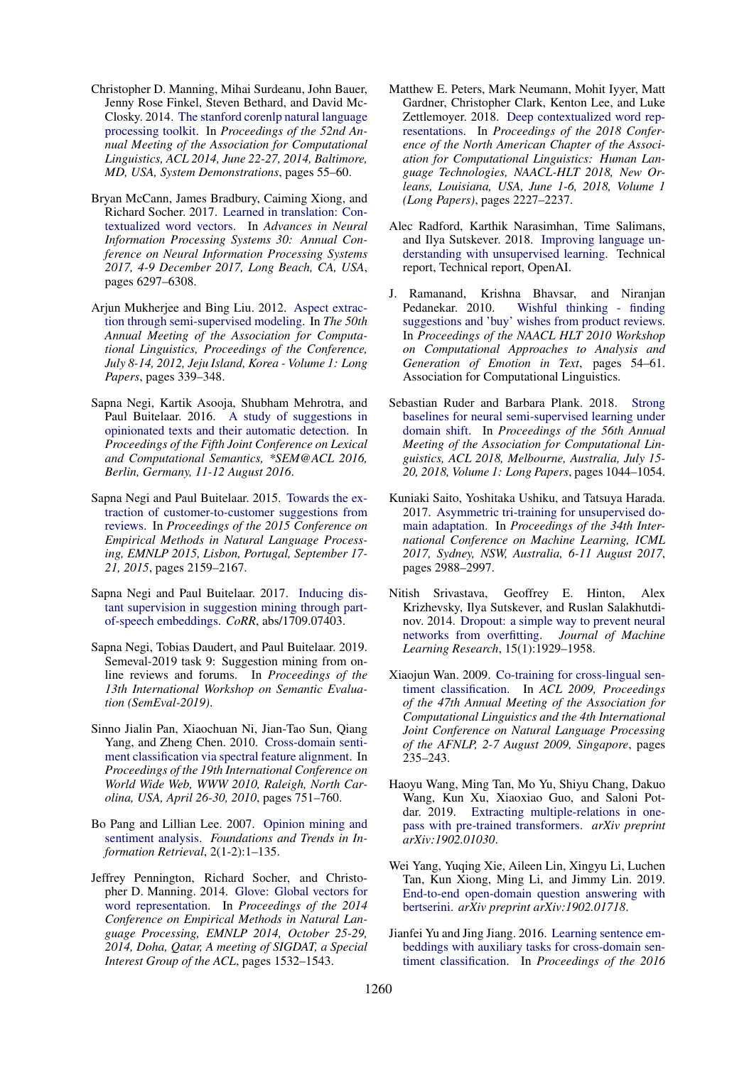- <span id="page-6-18"></span>Christopher D. Manning, Mihai Surdeanu, John Bauer, Jenny Rose Finkel, Steven Bethard, and David Mc-Closky. 2014. [The stanford corenlp natural language](http://aclweb.org/anthology/P/P14/P14-5010.pdf) [processing toolkit.](http://aclweb.org/anthology/P/P14/P14-5010.pdf) In *Proceedings of the 52nd Annual Meeting of the Association for Computational Linguistics, ACL 2014, June 22-27, 2014, Baltimore, MD, USA, System Demonstrations*, pages 55–60.
- <span id="page-6-17"></span>Bryan McCann, James Bradbury, Caiming Xiong, and Richard Socher. 2017. [Learned in translation: Con](http://papers.nips.cc/paper/7209-learned-in-translation-contextualized-word-vectors)[textualized word vectors.](http://papers.nips.cc/paper/7209-learned-in-translation-contextualized-word-vectors) In *Advances in Neural Information Processing Systems 30: Annual Conference on Neural Information Processing Systems 2017, 4-9 December 2017, Long Beach, CA, USA*, pages 6297–6308.
- <span id="page-6-1"></span>Arjun Mukherjee and Bing Liu. 2012. [Aspect extrac](http://www.aclweb.org/anthology/P12-1036)[tion through semi-supervised modeling.](http://www.aclweb.org/anthology/P12-1036) In *The 50th Annual Meeting of the Association for Computational Linguistics, Proceedings of the Conference, July 8-14, 2012, Jeju Island, Korea - Volume 1: Long Papers*, pages 339–348.
- <span id="page-6-5"></span>Sapna Negi, Kartik Asooja, Shubham Mehrotra, and Paul Buitelaar. 2016. [A study of suggestions in](http://aclweb.org/anthology/S/S16/S16-2022.pdf) [opinionated texts and their automatic detection.](http://aclweb.org/anthology/S/S16/S16-2022.pdf) In *Proceedings of the Fifth Joint Conference on Lexical and Computational Semantics, \*SEM@ACL 2016, Berlin, Germany, 11-12 August 2016*.
- <span id="page-6-4"></span>Sapna Negi and Paul Buitelaar. 2015. [Towards the ex](http://aclweb.org/anthology/D/D15/D15-1258.pdf)[traction of customer-to-customer suggestions from](http://aclweb.org/anthology/D/D15/D15-1258.pdf) [reviews.](http://aclweb.org/anthology/D/D15/D15-1258.pdf) In *Proceedings of the 2015 Conference on Empirical Methods in Natural Language Processing, EMNLP 2015, Lisbon, Portugal, September 17- 21, 2015*, pages 2159–2167.
- <span id="page-6-6"></span>Sapna Negi and Paul Buitelaar. 2017. [Inducing dis](http://arxiv.org/abs/1709.07403)[tant supervision in suggestion mining through part](http://arxiv.org/abs/1709.07403)[of-speech embeddings.](http://arxiv.org/abs/1709.07403) *CoRR*, abs/1709.07403.
- <span id="page-6-2"></span>Sapna Negi, Tobias Daudert, and Paul Buitelaar. 2019. Semeval-2019 task 9: Suggestion mining from online reviews and forums. In *Proceedings of the 13th International Workshop on Semantic Evaluation (SemEval-2019)*.
- <span id="page-6-7"></span>Sinno Jialin Pan, Xiaochuan Ni, Jian-Tao Sun, Qiang Yang, and Zheng Chen. 2010. [Cross-domain senti](https://doi.org/10.1145/1772690.1772767)[ment classification via spectral feature alignment.](https://doi.org/10.1145/1772690.1772767) In *Proceedings of the 19th International Conference on World Wide Web, WWW 2010, Raleigh, North Carolina, USA, April 26-30, 2010*, pages 751–760.
- <span id="page-6-0"></span>Bo Pang and Lillian Lee. 2007. [Opinion mining and](https://doi.org/10.1561/1500000011) [sentiment analysis.](https://doi.org/10.1561/1500000011) *Foundations and Trends in Information Retrieval*, 2(1-2):1–135.
- <span id="page-6-16"></span>Jeffrey Pennington, Richard Socher, and Christopher D. Manning. 2014. [Glove: Global vectors for](http://aclweb.org/anthology/D/D14/D14-1162.pdf) [word representation.](http://aclweb.org/anthology/D/D14/D14-1162.pdf) In *Proceedings of the 2014 Conference on Empirical Methods in Natural Language Processing, EMNLP 2014, October 25-29, 2014, Doha, Qatar, A meeting of SIGDAT, a Special Interest Group of the ACL*, pages 1532–1543.
- <span id="page-6-12"></span>Matthew E. Peters, Mark Neumann, Mohit Iyyer, Matt Gardner, Christopher Clark, Kenton Lee, and Luke Zettlemoyer. 2018. [Deep contextualized word rep](https://aclanthology.info/papers/N18-1202/n18-1202)[resentations.](https://aclanthology.info/papers/N18-1202/n18-1202) In *Proceedings of the 2018 Conference of the North American Chapter of the Association for Computational Linguistics: Human Language Technologies, NAACL-HLT 2018, New Orleans, Louisiana, USA, June 1-6, 2018, Volume 1 (Long Papers)*, pages 2227–2237.
- <span id="page-6-13"></span>Alec Radford, Karthik Narasimhan, Time Salimans, and Ilya Sutskever. 2018. [Improving language un](https://blog.openai.com/language-unsupervised/)[derstanding with unsupervised learning.](https://blog.openai.com/language-unsupervised/) Technical report, Technical report, OpenAI.
- <span id="page-6-3"></span>J. Ramanand, Krishna Bhavsar, and Niranjan Pedanekar. 2010. [Wishful thinking - finding](http://aclweb.org/anthology/W10-0207) [suggestions and 'buy' wishes from product reviews.](http://aclweb.org/anthology/W10-0207) In *Proceedings of the NAACL HLT 2010 Workshop on Computational Approaches to Analysis and Generation of Emotion in Text*, pages 54–61. Association for Computational Linguistics.
- <span id="page-6-11"></span>Sebastian Ruder and Barbara Plank. 2018. [Strong](https://aclanthology.info/papers/P18-1096/p18-1096) [baselines for neural semi-supervised learning under](https://aclanthology.info/papers/P18-1096/p18-1096) [domain shift.](https://aclanthology.info/papers/P18-1096/p18-1096) In *Proceedings of the 56th Annual Meeting of the Association for Computational Linguistics, ACL 2018, Melbourne, Australia, July 15- 20, 2018, Volume 1: Long Papers*, pages 1044–1054.
- <span id="page-6-10"></span>Kuniaki Saito, Yoshitaka Ushiku, and Tatsuya Harada. 2017. [Asymmetric tri-training for unsupervised do](http://proceedings.mlr.press/v70/saito17a.html)[main adaptation.](http://proceedings.mlr.press/v70/saito17a.html) In *Proceedings of the 34th International Conference on Machine Learning, ICML 2017, Sydney, NSW, Australia, 6-11 August 2017*, pages 2988–2997.
- <span id="page-6-19"></span>Nitish Srivastava, Geoffrey E. Hinton, Alex Krizhevsky, Ilya Sutskever, and Ruslan Salakhutdinov. 2014. [Dropout: a simple way to prevent neural](http://dl.acm.org/citation.cfm?id=2670313) [networks from overfitting.](http://dl.acm.org/citation.cfm?id=2670313) *Journal of Machine Learning Research*, 15(1):1929–1958.
- <span id="page-6-8"></span>Xiaojun Wan. 2009. [Co-training for cross-lingual sen](http://www.aclweb.org/anthology/P09-1027)[timent classification.](http://www.aclweb.org/anthology/P09-1027) In *ACL 2009, Proceedings of the 47th Annual Meeting of the Association for Computational Linguistics and the 4th International Joint Conference on Natural Language Processing of the AFNLP, 2-7 August 2009, Singapore*, pages 235–243.
- <span id="page-6-15"></span>Haoyu Wang, Ming Tan, Mo Yu, Shiyu Chang, Dakuo Wang, Kun Xu, Xiaoxiao Guo, and Saloni Potdar. 2019. [Extracting multiple-relations in one](https://arxiv.org/pdf/1902.01030)[pass with pre-trained transformers.](https://arxiv.org/pdf/1902.01030) *arXiv preprint arXiv:1902.01030*.
- <span id="page-6-14"></span>Wei Yang, Yuqing Xie, Aileen Lin, Xingyu Li, Luchen Tan, Kun Xiong, Ming Li, and Jimmy Lin. 2019. [End-to-end open-domain question answering with](https://arxiv.org/pdf/1902.01718) [bertserini.](https://arxiv.org/pdf/1902.01718) *arXiv preprint arXiv:1902.01718*.
- <span id="page-6-9"></span>Jianfei Yu and Jing Jiang. 2016. [Learning sentence em](http://aclweb.org/anthology/D/D16/D16-1023.pdf)[beddings with auxiliary tasks for cross-domain sen](http://aclweb.org/anthology/D/D16/D16-1023.pdf)[timent classification.](http://aclweb.org/anthology/D/D16/D16-1023.pdf) In *Proceedings of the 2016*